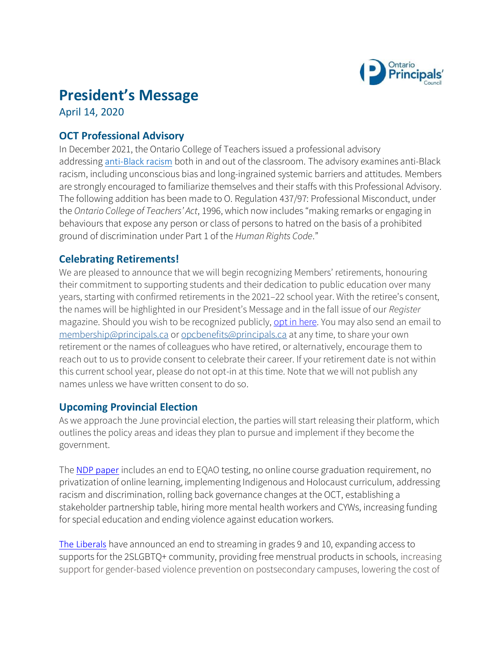

# **President's Message**

April 14, 2020

### **OCT Professional Advisory**

In December 2021, the Ontario College of Teachers issued a professional advisory addressing [anti-Black racism](https://www.oct.ca/resources/advisories/anti-black-racism) both in and out of the classroom. The advisory examines anti-Black racism, including unconscious bias and long-ingrained systemic barriers and attitudes. Members are strongly encouraged to familiarize themselves and their staffs with this Professional Advisory. The following addition has been made to O. Regulation 437/97: Professional Misconduct, under the *Ontario College of Teachers' Act*, 1996, which now includes "making remarks or engaging in behaviours that expose any person or class of persons to hatred on the basis of a prohibited ground of discrimination under Part 1 of the *Human Rights Code*."

#### **Celebrating Retirements!**

We are pleased to announce that we will begin recognizing Members' retirements, honouring their commitment to supporting students and their dedication to public education over many years, starting with confirmed retirements in the 2021–22 school year. With the retiree's consent, the names will be highlighted in our President's Message and in the fall issue of our *Register* magazine. Should you wish to be recognized publicly, [opt in here.](https://forms.principals.ca/Membership/Retirement-Acknowledgement) You may also send an email to [membership@principals.ca](mailto:membership@principals.ca) o[r opcbenefits@principals.ca](mailto:opcbenefits@principals.ca) at any time, to share your own retirement or the names of colleagues who have retired, or alternatively, encourage them to reach out to us to provide consent to celebrate their career. If your retirement date is not within this current school year, please do not opt-in at this time. Note that we will not publish any names unless we have written consent to do so.

#### **Upcoming Provincial Election**

As we approach the June provincial election, the parties will start releasing their platform, which outlines the policy areas and ideas they plan to pursue and implement if they become the government.

The [NDP paper](https://mcusercontent.com/27b005596f1767be1b3f4c789/files/4280cddf-ad58-f0cf-0e9c-6f8a57c0c92c/ONDP_2022_Strong._Ready._Working_for_you._Platform_Compress_4.pdf) includes an end to EQAO testing, no online course graduation requirement, no privatization of online learning, implementing Indigenous and Holocaust curriculum, addressing racism and discrimination, rolling back governance changes at the OCT, establishing a stakeholder partnership table, hiring more mental health workers and CYWs, increasing funding for special education and ending violence against education workers.

[The Liberals](https://ontarioliberal.ca/policy-announcements/) have announced an end to streaming in grades 9 and 10, expanding access to supports for the 2SLGBTQ+ community, providing free menstrual products in schools, increasing support for gender-based violence prevention on postsecondary campuses, lowering the cost of